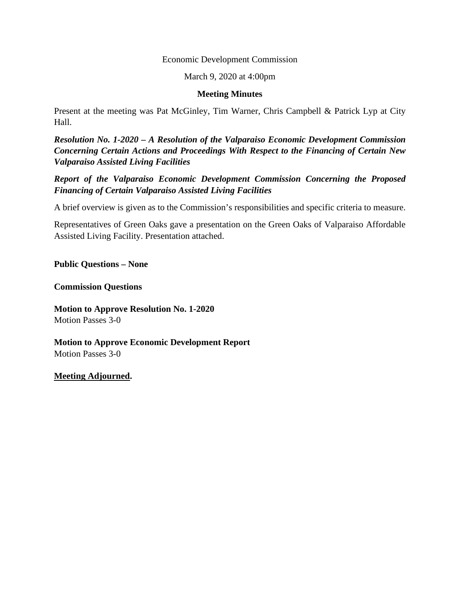#### Economic Development Commission

#### March 9, 2020 at 4:00pm

#### **Meeting Minutes**

Present at the meeting was Pat McGinley, Tim Warner, Chris Campbell & Patrick Lyp at City Hall.

*Resolution No. 1-2020 – A Resolution of the Valparaiso Economic Development Commission Concerning Certain Actions and Proceedings With Respect to the Financing of Certain New Valparaiso Assisted Living Facilities* 

*Report of the Valparaiso Economic Development Commission Concerning the Proposed Financing of Certain Valparaiso Assisted Living Facilities* 

A brief overview is given as to the Commission's responsibilities and specific criteria to measure.

Representatives of Green Oaks gave a presentation on the Green Oaks of Valparaiso Affordable Assisted Living Facility. Presentation attached.

**Public Questions – None** 

**Commission Questions** 

**Motion to Approve Resolution No. 1-2020**  Motion Passes 3-0

**Motion to Approve Economic Development Report**  Motion Passes 3-0

#### **Meeting Adjourned.**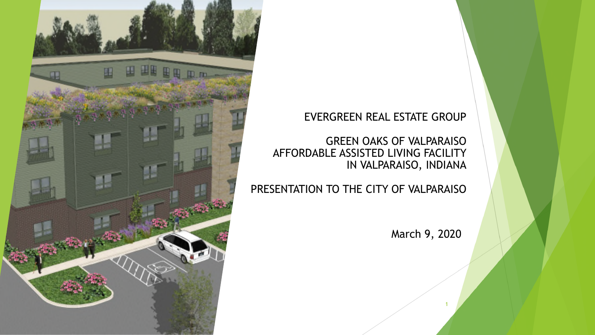#### EVERGREEN REAL ESTATE GROUP

GREEN OAKS OF VALPARAISO AFFORDABLE ASSISTED LIVING FACILITY IN VALPARAISO, INDIANA

PRESENTATION TO THE CITY OF VALPARAISO

March 9, 2020

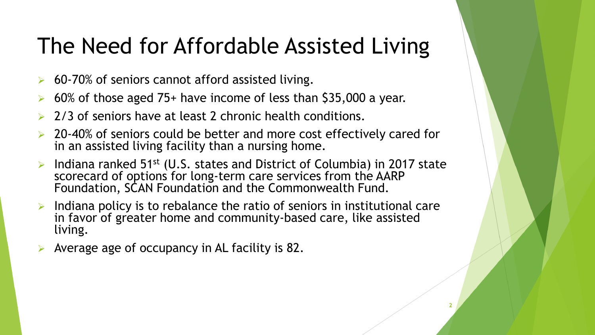#### The Need for Affordable Assisted Living

- $\triangleright$  60-70% of seniors cannot afford assisted living.
- 60% of those aged 75+ have income of less than \$35,000 a year.
- 2/3 of seniors have at least 2 chronic health conditions.
- $\geq 20-40\%$  of seniors could be better and more cost effectively cared for in an assisted living facility than a nursing home.
- Indiana ranked 51st (U.S. states and District of Columbia) in 2017 state scorecard of options for long-term care services from the AARP Foundation, SCAN Foundation and the Commonwealth Fund.
- $\triangleright$  Indiana policy is to rebalance the ratio of seniors in institutional care in favor of greater home and community-based care, like assisted living.
- Average age of occupancy in AL facility is 82.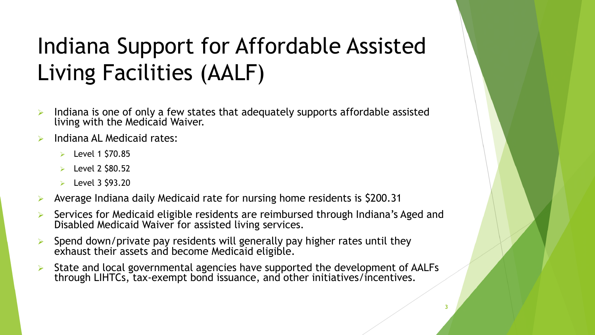### Indiana Support for Affordable Assisted Living Facilities (AALF)

- Indiana is one of only a few states that adequately supports affordable assisted living with the Medicaid Waiver.
- Indiana AL Medicaid rates:
	- $\triangleright$  Level 1 \$70.85
	- $\blacktriangleright$  Level 2 \$80.52
	- $\blacktriangleright$  Level 3 \$93.20
- Average Indiana daily Medicaid rate for nursing home residents is \$200.31
- Services for Medicaid eligible residents are reimbursed through Indiana's Aged and Disabled Medicaid Waiver for assisted living services.
- $\triangleright$  Spend down/private pay residents will generally pay higher rates until they exhaust their assets and become Medicaid eligible.
- State and local governmental agencies have supported the development of AALFs through LIHTCs, tax-exempt bond issuance, and other initiatives/incentives.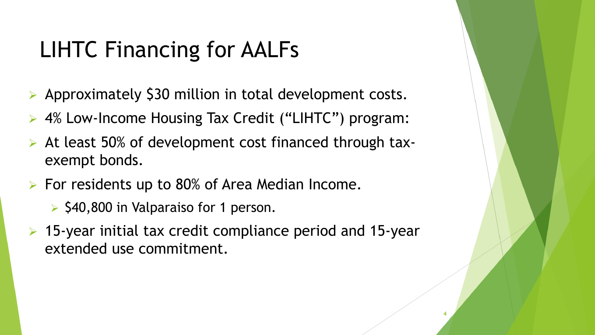#### LIHTC Financing for AALFs

- ▶ Approximately \$30 million in total development costs.
- ▶ 4% Low-Income Housing Tax Credit ("LIHTC") program:
- $\triangleright$  At least 50% of development cost financed through taxexempt bonds.
- $\triangleright$  For residents up to 80% of Area Median Income.
	- $\triangleright$  \$40,800 in Valparaiso for 1 person.
- $\triangleright$  15-year initial tax credit compliance period and 15-year extended use commitment.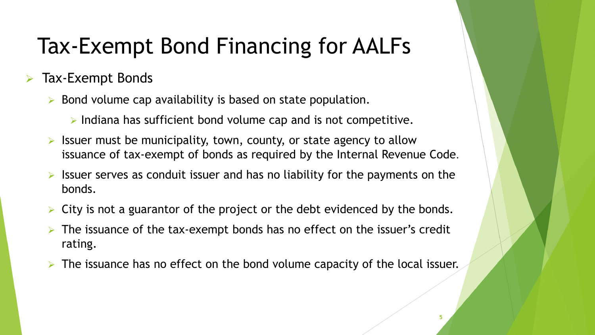### Tax-Exempt Bond Financing for AALFs

#### $\triangleright$  Tax-Exempt Bonds

- $\triangleright$  Bond volume cap availability is based on state population.
	- $\triangleright$  Indiana has sufficient bond volume cap and is not competitive.
- Issuer must be municipality, town, county, or state agency to allow issuance of tax-exempt of bonds as required by the Internal Revenue Code.
- Issuer serves as conduit issuer and has no liability for the payments on the bonds.
- City is not a guarantor of the project or the debt evidenced by the bonds.
- The issuance of the tax-exempt bonds has no effect on the issuer's credit rating.
- The issuance has no effect on the bond volume capacity of the local issuer.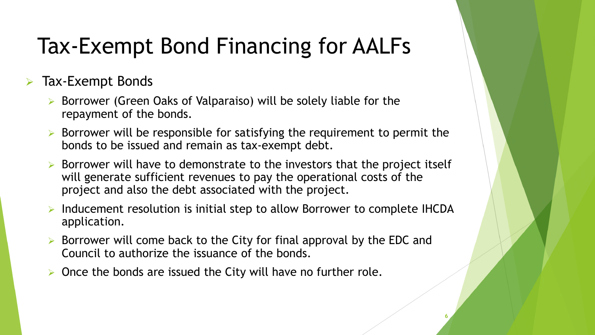### Tax-Exempt Bond Financing for AALFs

Tax-Exempt Bonds

- $\triangleright$  Borrower (Green Oaks of Valparaiso) will be solely liable for the repayment of the bonds.
- $\triangleright$  Borrower will be responsible for satisfying the requirement to permit the bonds to be issued and remain as tax-exempt debt.
- $\triangleright$  Borrower will have to demonstrate to the investors that the project itself will generate sufficient revenues to pay the operational costs of the project and also the debt associated with the project.
- Inducement resolution is initial step to allow Borrower to complete IHCDA application.

- $\triangleright$  Borrower will come back to the City for final approval by the EDC and Council to authorize the issuance of the bonds.
- $\triangleright$  Once the bonds are issued the City will have no further role.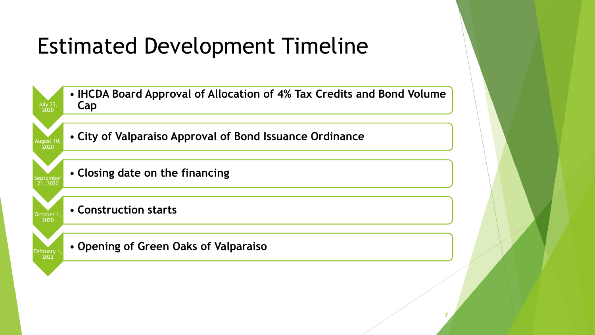### Estimated Development Timeline

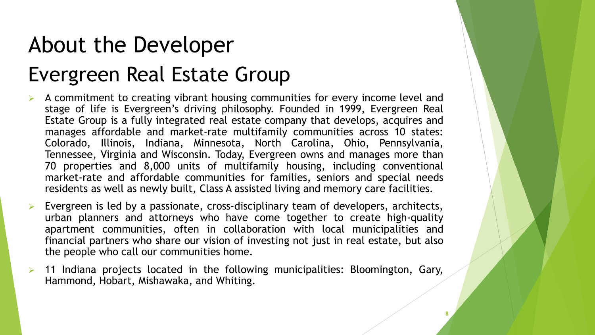# About the Developer Evergreen Real Estate Group

- $\triangleright$  A commitment to creating vibrant housing communities for every income level and stage of life is Evergreen's driving philosophy. Founded in 1999, Evergreen Real Estate Group is a fully integrated real estate company that develops, acquires and manages affordable and market-rate multifamily communities across 10 states: Colorado, Illinois, Indiana, Minnesota, North Carolina, Ohio, Pennsylvania, Tennessee, Virginia and Wisconsin. Today, Evergreen owns and manages more than 70 properties and 8,000 units of multifamily housing, including conventional market-rate and affordable communities for families, seniors and special needs residents as well as newly built, Class A assisted living and memory care facilities.
- Evergreen is led by a passionate, cross-disciplinary team of developers, architects, urban planners and attorneys who have come together to create high-quality apartment communities, often in collaboration with local municipalities and financial partners who share our vision of investing not just in real estate, but also the people who call our communities home.
- 11 Indiana projects located in the following municipalities: Bloomington, Gary, Hammond, Hobart, Mishawaka, and Whiting.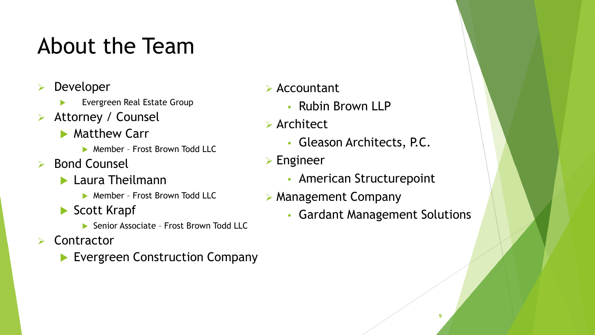#### About the Team

- Developer
	- Evergreen Real Estate Group
- Attorney / Counsel
	- **Matthew Carr** 
		- ▶ Member Frost Brown Todd LLC
- $\triangleright$  Bond Counsel
	- **Laura Theilmann** 
		- **Member Frost Brown Todd LLC**
	- Scott Krapf
		- ▶ Senior Associate Frost Brown Todd LLC
- **Contractor** 
	- **Evergreen Construction Company**
- Accountant
	- Rubin Brown LLP
- **Architect** 
	- Gleason Architects, P.C.
- Engineer
	- American Structurepoint
- $\triangleright$  Management Company
	- Gardant Management Solutions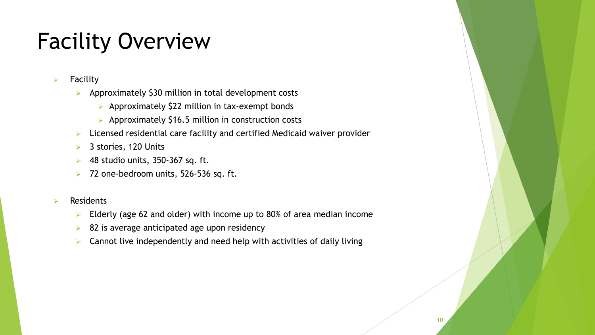### Facility Overview

- $\triangleright$  Facility
	- $\triangleright$  Approximately \$30 million in total development costs
		- $\triangleright$  Approximately \$22 million in tax-exempt bonds
		- $\triangleright$  Approximately \$16.5 million in construction costs
	- $\triangleright$  Licensed residential care facility and certified Medicaid waiver provider
	- **▶ 3 stories, 120 Units**
	- $\triangleright$  48 studio units, 350-367 sq. ft.
	- $\geq$  72 one-bedroom units, 526-536 sq. ft.

#### Residents

- Elderly (age 62 and older) with income up to 80% of area median income
- $\triangleright$  82 is average anticipated age upon residency
- $\triangleright$  Cannot live independently and need help with activities of daily living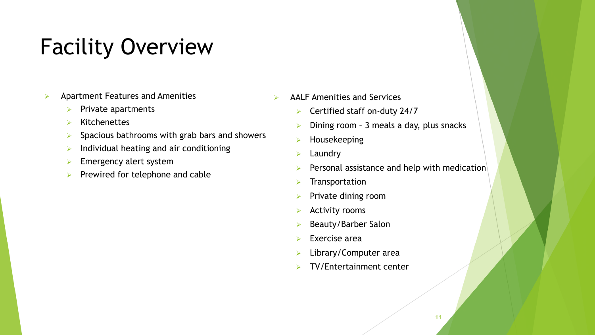### Facility Overview

- $\triangleright$  Apartment Features and Amenities
	- $\triangleright$  Private apartments
	- $\triangleright$  Kitchenettes
	- $\triangleright$  Spacious bathrooms with grab bars and showers
	- $\triangleright$  Individual heating and air conditioning
	- $\triangleright$  Emergency alert system
	- $\triangleright$  Prewired for telephone and cable
- $\triangleright$  AALF Amenities and Services
	- ▶ Certified staff on-duty 24/7
	- $\triangleright$  Dining room 3 meals a day, plus snacks
	- $\triangleright$  Housekeeping
	- $\triangleright$  Laundry
	- $\triangleright$  Personal assistance and help with medication
	- $\blacktriangleright$  Transportation
	- $\triangleright$  Private dining room
	- $\triangleright$  Activity rooms
	- $\triangleright$  Beauty/Barber Salon
	- $\triangleright$  Exercise area
	- **E** Library/Computer area
	- $\triangleright$  TV/Entertainment center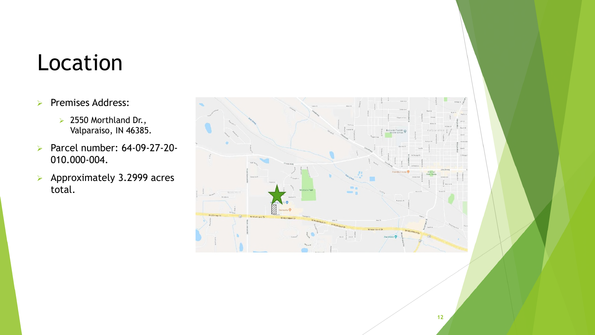#### Location

- Premises Address:
	- $\geq$  2550 Morthland Dr., Valparaiso, IN 46385.
- **Parcel number: 64-09-27-20-**010.000-004.
- $\triangleright$  Approximately 3.2999 acres total.

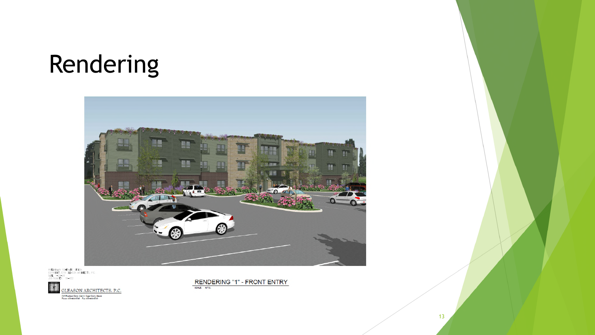# Rendering



PREIMNARY SCHEMATE DESIGN.<br>Copyright 2019 cleason architects, p.c.<br>Dar (1900–2019)<br>Dar (1900–2019) 10, 000 JOB NUMBER: 19-002



RENDERING "1" - FRONT ENTRY SCALE: N.T.S.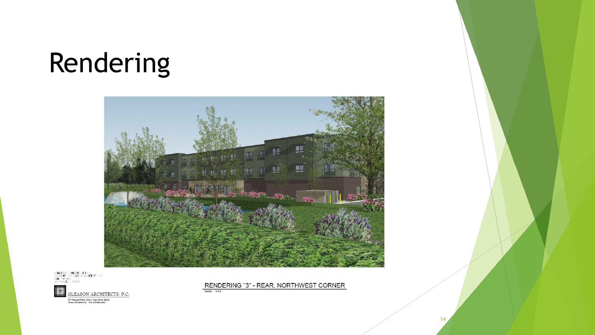# Rendering



FRELMINARY SCHENATIC DERICM.<br>Copyright 2019 Gleason Architects, P.C.<br>Date 1-20-20 OB NUMBER  $(9 - 0)$ 



RENDERING "3" - REAR, NORTHWEST CORNER

SCALE: N.T.S.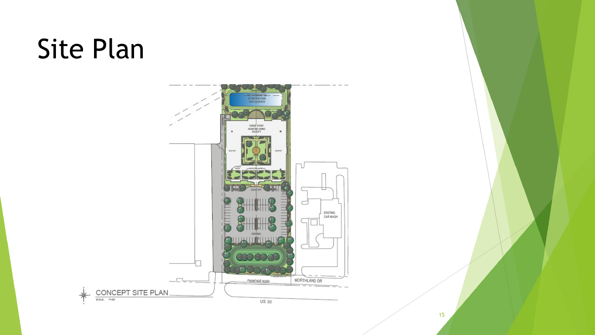# Site Plan

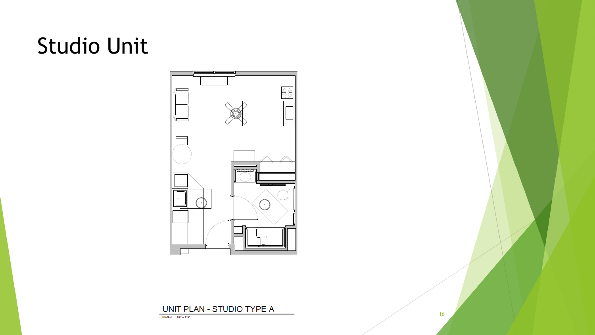### Studio Unit



#### UNIT PLAN - STUDIO TYPE A

SCALE: 1/4" - 1/4"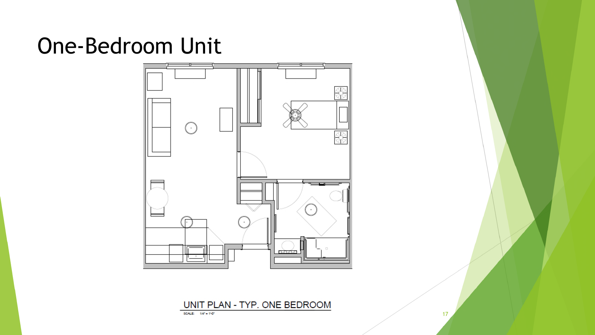#### One-Bedroom Unit



UNIT PLAN - TYP. ONE BEDROOM

17

SCALE: 1/4" - 110"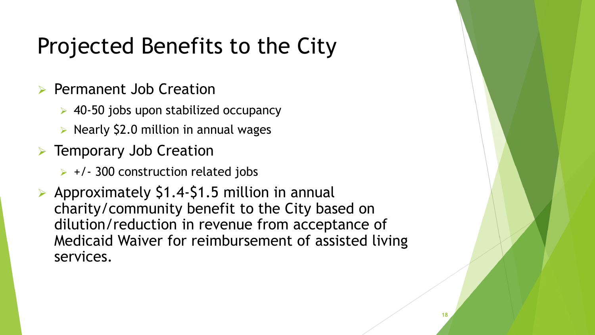### Projected Benefits to the City

- $\triangleright$  Permanent Job Creation
	- $\geq$  40-50 jobs upon stabilized occupancy
	- $\triangleright$  Nearly \$2.0 million in annual wages
- **EXECUTE:** Temporary Job Creation
	- $\triangleright$  +/- 300 construction related jobs
- Approximately  $$1.4-$1.5$  million in annual charity/community benefit to the City based on dilution/reduction in revenue from acceptance of Medicaid Waiver for reimbursement of assisted living services.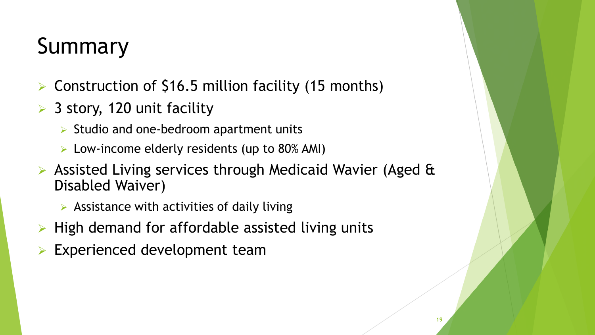# Summary

- Construction of \$16.5 million facility (15 months)
- $>$  3 story, 120 unit facility
	- $\triangleright$  Studio and one-bedroom apartment units
	- $\triangleright$  Low-income elderly residents (up to 80% AMI)
- $\triangleright$  Assisted Living services through Medicaid Wavier (Aged & Disabled Waiver)
	- $\triangleright$  Assistance with activities of daily living
- High demand for affordable assisted living units
- Experienced development team